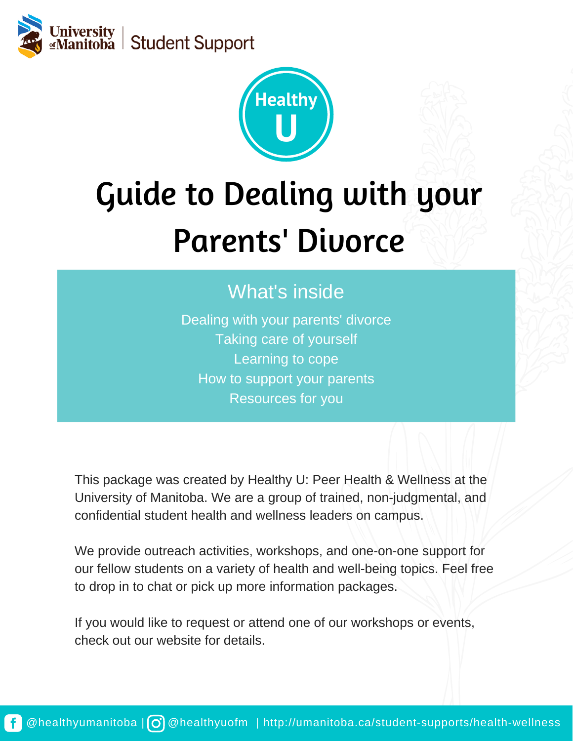



# Guide to Dealing with your Parents' Divorce

#### What's inside

Dealing with your parents' divorce Taking care of yourself Learning to cope How to support your parents Resources for you

This package was created by Healthy U: Peer Health & Wellness at the University of Manitoba. We are a group of trained, non-judgmental, and confidential student health and wellness leaders on campus.

We provide outreach activities, workshops, and one-on-one support for our fellow students on a variety of health and well-being topics. Feel free to drop in to chat or pick up more information packages.

If you would like to request or attend one of our workshops or events, check out our website for details.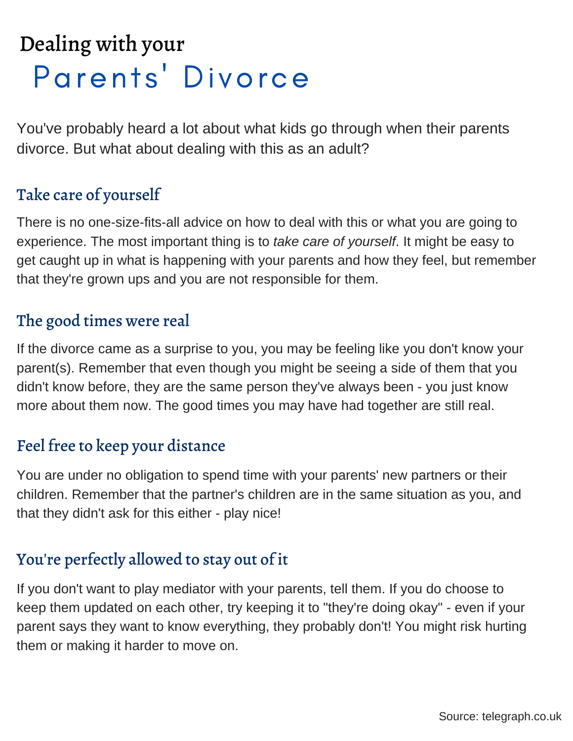## Parents' Divorce Dealing with your

You've probably heard a lot about what kids go through when their parents divorce. But what about dealing with this as an adult?

#### Take care of yourself

There is no one-size-fits-all advice on how to deal with this or what you are going to experience. The most important thing is to *take care of yourself*. It might be easy to get caught up in what is happening with your parents and how they feel, but remember that they're grown ups and you are not responsible for them.

#### The good times were real

If the divorce came as a surprise to you, you may be feeling like you don't know your parent(s). Remember that even though you might be seeing a side of them that you didn't know before, they are the same person they've always been - you just know more about them now. The good times you may have had together are still real.

#### Feel free to keep your distance

You are under no obligation to spend time with your parents' new partners or their children. Remember that the partner's children are in the same situation as you, and that they didn't ask for this either - play nice!

#### You're perfectly allowed to stay out of it

If you don't want to play mediator with your parents, tell them. If you do choose to keep them updated on each other, try keeping it to "they're doing okay" - even if your parent says they want to know everything, they probably don't! You might risk hurting them or making it harder to move on.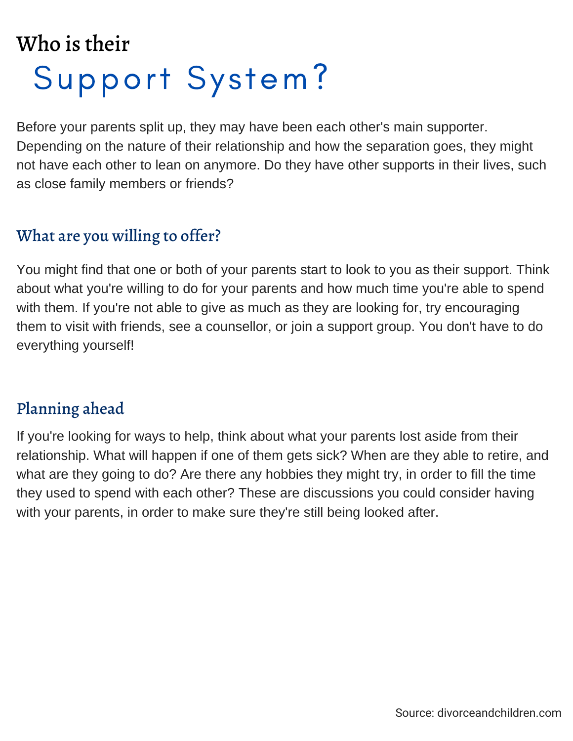## Support System? Who is their

Before your parents split up, they may have been each other's main supporter. Depending on the nature of their relationship and how the separation goes, they might not have each other to lean on anymore. Do they have other supports in their lives, such as close family members or friends?

#### What are you willing to offer?

You might find that one or both of your parents start to look to you as their support. Think about what you're willing to do for your parents and how much time you're able to spend with them. If you're not able to give as much as they are looking for, try encouraging them to visit with friends, see a counsellor, or join a support group. You don't have to do everything yourself!

#### Planning ahead

If you're looking for ways to help, think about what your parents lost aside from their relationship. What will happen if one of them gets sick? When are they able to retire, and what are they going to do? Are there any hobbies they might try, in order to fill the time they used to spend with each other? These are discussions you could consider having with your parents, in order to make sure they're still being looked after.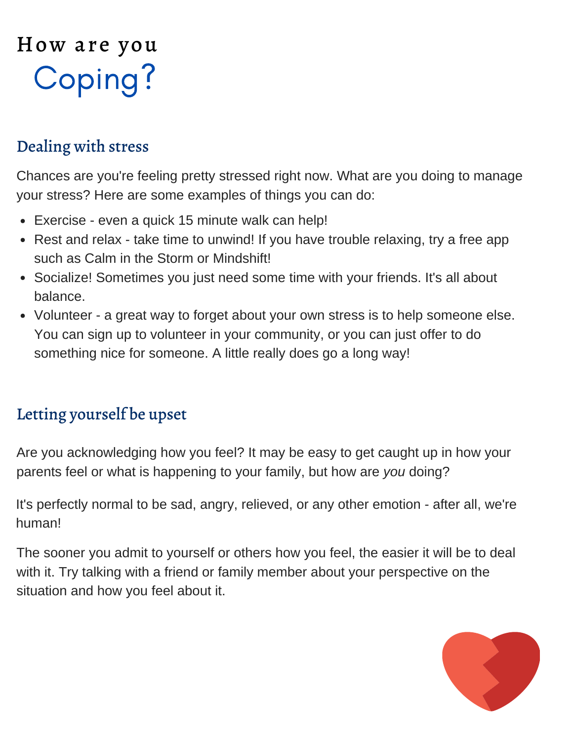## How are you Coping?

#### Dealing with stress

Chances are you're feeling pretty stressed right now. What are you doing to manage your stress? Here are some examples of things you can do:

- Exercise even a quick 15 minute walk can help!
- Rest and relax take time to unwind! If you have trouble relaxing, try a free app such as Calm in the Storm or Mindshift!
- Socialize! Sometimes you just need some time with your friends. It's all about balance.
- Volunteer a great way to forget about your own stress is to help someone else. You can sign up to volunteer in your community, or you can just offer to do something nice for someone. A little really does go a long way!

#### Letting yourself be upset

Are you acknowledging how you feel? It may be easy to get caught up in how your parents feel or what is happening to your family, but how are *you* doing?

It's perfectly normal to be sad, angry, relieved, or any other emotion - after all, we're human!

The sooner you admit to yourself or others how you feel, the easier it will be to deal with it. Try talking with a friend or family member about your perspective on the situation and how you feel about it.